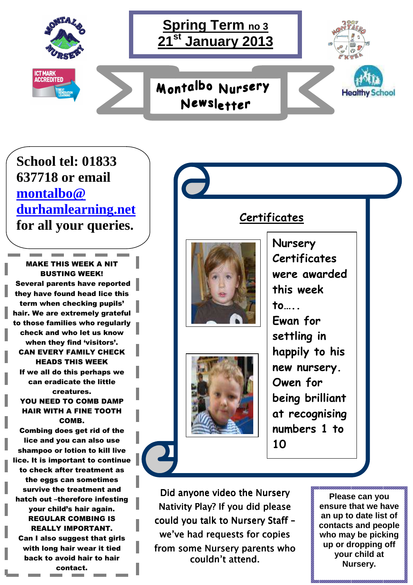## **School tel: 01833 637718 or email montalbo@ durhamlearning.net for all your queries.**

MAKE THIS WEEK A NIT BUSTING WEEK! Several parents have reported they have found head lice this term when checking pupils' hair. We are extremely grateful to those families who regularly check and who let us know when they find 'visitors'. CAN EVERY FAMILY CHECK HEADS THIS WEEK If we all do this perhaps we can eradicate the little creatures. YOU NEED TO COMB DAMP HAIR WITH A FINE TOOTH COMB. Combing does get rid of the lice and you can also use shampoo or lotion to kill live lice. It is important to continue to check after treatment as the eggs can sometimes survive the treatment and hatch out –therefore infesting your child's hair again. REGULAR COMBING IS REALLY IMPORTANT. Can I also suggest that girls with long hair wear it tied back to avoid hair to hair contact.

**Certificates** 



Did anyone video the Nursery Nativity Play? If you did please could you talk to Nursery Staff we've had requests for copies from some Nursery parents who couldn't attend.

**Please can you ensure that we have an up to date list of contacts and people who may be picking up or dropping off your child at Nursery.**